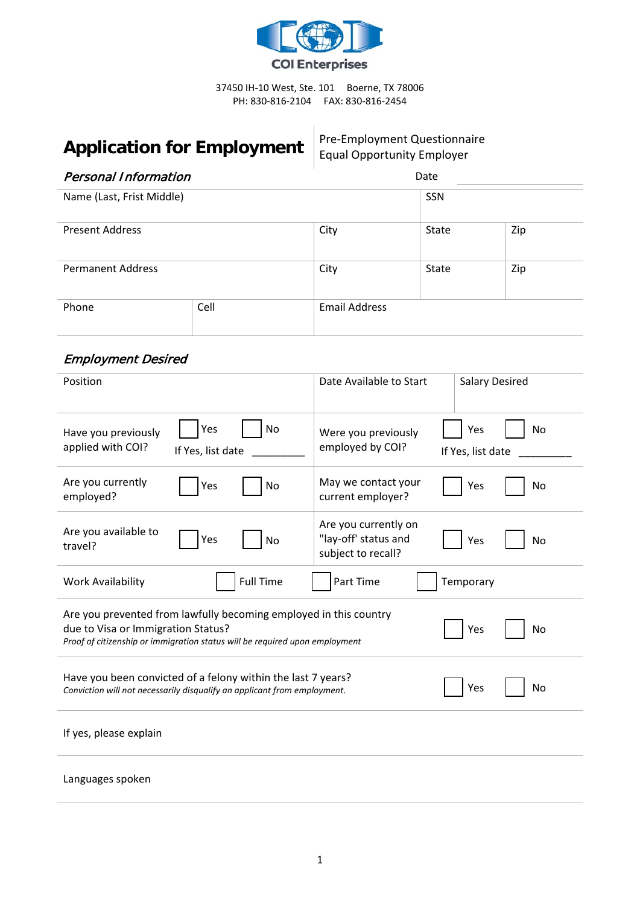

37450 IH-10 West, Ste. 101 Boerne, TX 78006 PH: 830-816-2104 FAX: 830-816-2454

# **Application for Employment** Pre-Employment Questionnaire

Equal Opportunity Employer

 $\frac{1}{\sqrt{2}}$ 

| <b>Personal Information</b> |  |                      | Date         |     |  |
|-----------------------------|--|----------------------|--------------|-----|--|
| Name (Last, Frist Middle)   |  |                      | SSN          |     |  |
| <b>Present Address</b>      |  | City                 | State        | Zip |  |
| <b>Permanent Address</b>    |  | City                 | <b>State</b> | Zip |  |
| Cell<br>Phone               |  | <b>Email Address</b> |              |     |  |

## Employment Desired

| Position                                                                                                                                                                               | Date Available to Start                                            | <b>Salary Desired</b>          |  |  |
|----------------------------------------------------------------------------------------------------------------------------------------------------------------------------------------|--------------------------------------------------------------------|--------------------------------|--|--|
| Yes<br>No<br>Have you previously<br>applied with COI?<br>If Yes, list date                                                                                                             | Were you previously<br>employed by COI?                            | Yes<br>No<br>If Yes, list date |  |  |
| Are you currently<br>No<br>Yes<br>employed?                                                                                                                                            | May we contact your<br>current employer?                           | Yes<br>No                      |  |  |
| Are you available to<br>Yes<br>No<br>travel?                                                                                                                                           | Are you currently on<br>"lay-off' status and<br>subject to recall? | Yes<br>No                      |  |  |
| <b>Full Time</b><br><b>Work Availability</b>                                                                                                                                           | Part Time                                                          | Temporary                      |  |  |
| Are you prevented from lawfully becoming employed in this country<br>due to Visa or Immigration Status?<br>Proof of citizenship or immigration status will be required upon employment |                                                                    | Yes<br>No                      |  |  |
| Have you been convicted of a felony within the last 7 years?<br>Conviction will not necessarily disqualify an applicant from employment.                                               |                                                                    | <b>No</b><br>Yes               |  |  |
| If yes, please explain                                                                                                                                                                 |                                                                    |                                |  |  |
| Languages spoken                                                                                                                                                                       |                                                                    |                                |  |  |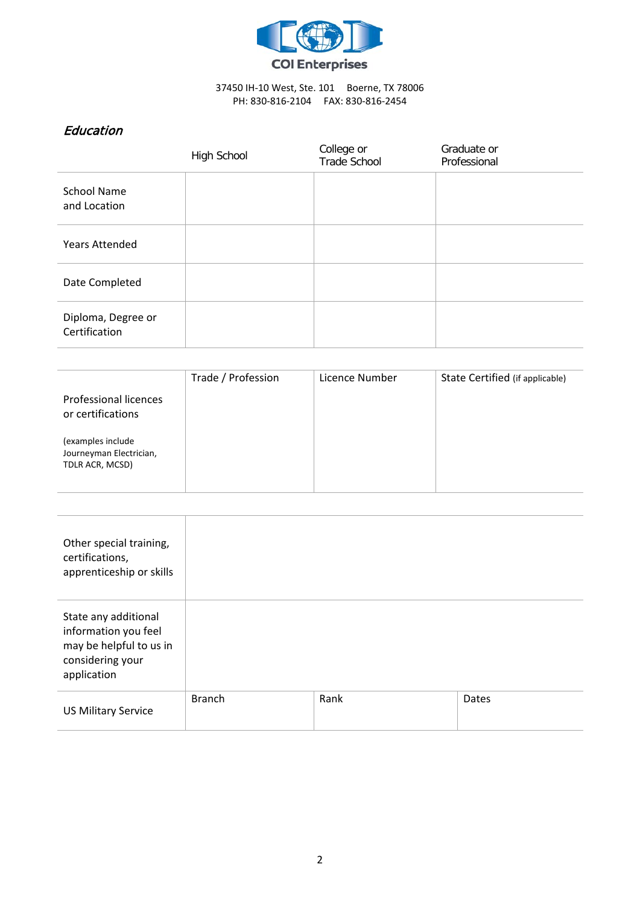

### 37450 IH-10 West, Ste. 101 Boerne, TX 78006 PH: 830-816-2104 FAX: 830-816-2454

## **Education**

|                                     | High School | College or<br><b>Trade School</b> | Graduate or<br>Professional |
|-------------------------------------|-------------|-----------------------------------|-----------------------------|
| <b>School Name</b><br>and Location  |             |                                   |                             |
| <b>Years Attended</b>               |             |                                   |                             |
| Date Completed                      |             |                                   |                             |
| Diploma, Degree or<br>Certification |             |                                   |                             |

| Professional licences<br>or certifications                      | Trade / Profession | Licence Number | State Certified (if applicable) |
|-----------------------------------------------------------------|--------------------|----------------|---------------------------------|
| (examples include<br>Journeyman Electrician,<br>TDLR ACR, MCSD) |                    |                |                                 |

Τ

| Other special training,<br>certifications,<br>apprenticeship or skills                                     |               |      |       |
|------------------------------------------------------------------------------------------------------------|---------------|------|-------|
| State any additional<br>information you feel<br>may be helpful to us in<br>considering your<br>application |               |      |       |
| <b>US Military Service</b>                                                                                 | <b>Branch</b> | Rank | Dates |